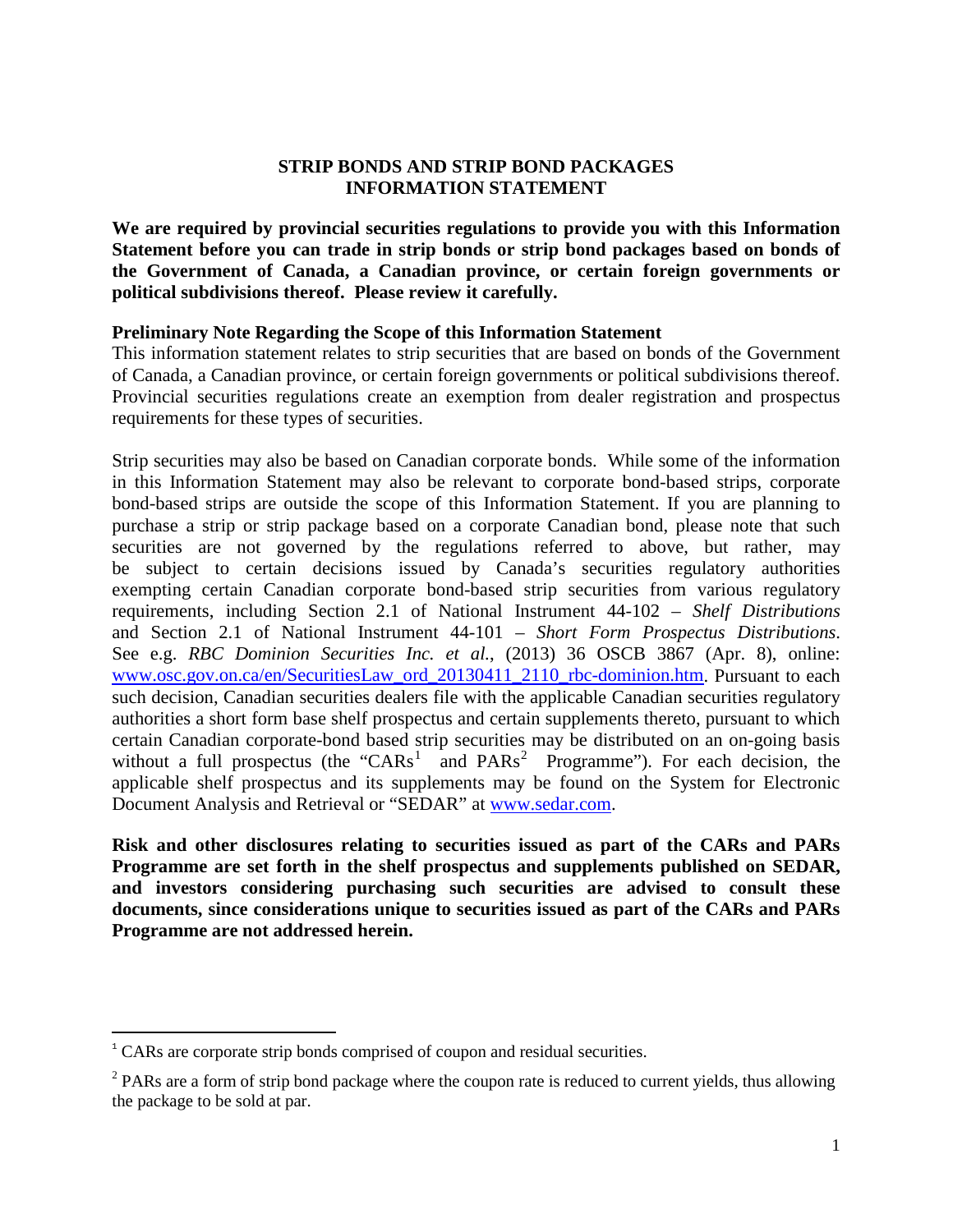### **STRIP BONDS AND STRIP BOND PACKAGES INFORMATION STATEMENT**

**We are required by provincial securities regulations to provide you with this Information Statement before you can trade in strip bonds or strip bond packages based on bonds of the Government of Canada, a Canadian province, or certain foreign governments or political subdivisions thereof. Please review it carefully.** 

### **Preliminary Note Regarding the Scope of this Information Statement**

This information statement relates to strip securities that are based on bonds of the Government of Canada, a Canadian province, or certain foreign governments or political subdivisions thereof. Provincial securities regulations create an exemption from dealer registration and prospectus requirements for these types of securities.

Strip securities may also be based on Canadian corporate bonds. While some of the information in this Information Statement may also be relevant to corporate bond-based strips, corporate bond-based strips are outside the scope of this Information Statement. If you are planning to purchase a strip or strip package based on a corporate Canadian bond, please note that such securities are not governed by the regulations referred to above, but rather, may be subject to certain decisions issued by Canada's securities regulatory authorities exempting certain Canadian corporate bond-based strip securities from various regulatory requirements, including Section 2.1 of National Instrument 44-102 – *Shelf Distributions* and Section 2.1 of National Instrument 44-101 – *Short Form Prospectus Distributions*. See e.g. *RBC Dominion Securities Inc. et al.*, (2013) 36 OSCB 3867 (Apr. 8), online: [www.osc.gov.on.ca/en/SecuritiesLaw\\_ord\\_20130411\\_2110\\_rbc-dominion.htm.](http://www.osc.gov.on.ca/en/SecuritiesLaw_ord_20130411_2110_rbc-dominion.htm) Pursuant to each such decision, Canadian securities dealers file with the applicable Canadian securities regulatory authorities a short form base shelf prospectus and certain supplements thereto, pursuant to which certain Canadian corporate-bond based strip securities may be distributed on an on-going basis without a full prospectus (the "CARs<sup>[1](#page-0-0)</sup> and  $PARs^2$  $PARs^2$  Programme"). For each decision, the applicable shelf prospectus and its supplements may be found on the System for Electronic Document Analysis and Retrieval or "SEDAR" at [www.sedar.com.](http://www.sedar.com/)

**Risk and other disclosures relating to securities issued as part of the CARs and PARs Programme are set forth in the shelf prospectus and supplements published on SEDAR, and investors considering purchasing such securities are advised to consult these documents, since considerations unique to securities issued as part of the CARs and PARs Programme are not addressed herein.**

l

<span id="page-0-0"></span><sup>&</sup>lt;sup>1</sup> CARs are corporate strip bonds comprised of coupon and residual securities.

<span id="page-0-1"></span> $2$  PARs are a form of strip bond package where the coupon rate is reduced to current yields, thus allowing the package to be sold at par.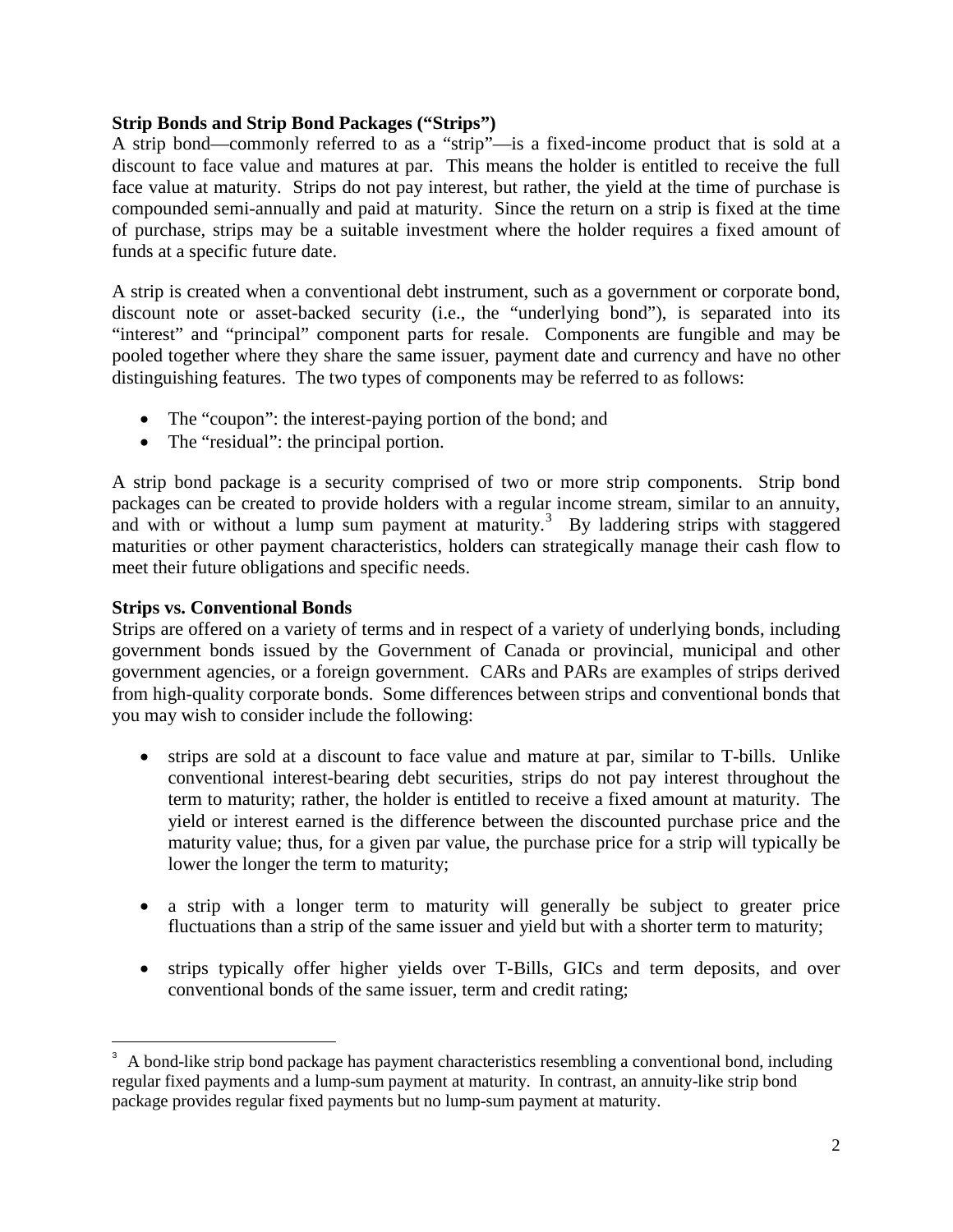## **Strip Bonds and Strip Bond Packages ("Strips")**

A strip bond—commonly referred to as a "strip"—is a fixed-income product that is sold at a discount to face value and matures at par. This means the holder is entitled to receive the full face value at maturity. Strips do not pay interest, but rather, the yield at the time of purchase is compounded semi-annually and paid at maturity. Since the return on a strip is fixed at the time of purchase, strips may be a suitable investment where the holder requires a fixed amount of funds at a specific future date.

A strip is created when a conventional debt instrument, such as a government or corporate bond, discount note or asset-backed security (i.e., the "underlying bond"), is separated into its "interest" and "principal" component parts for resale. Components are fungible and may be pooled together where they share the same issuer, payment date and currency and have no other distinguishing features. The two types of components may be referred to as follows:

- The "coupon": the interest-paying portion of the bond; and
- The "residual": the principal portion.

A strip bond package is a security comprised of two or more strip components. Strip bond packages can be created to provide holders with a regular income stream, similar to an annuity, and with or without a lump sum payment at maturity.<sup>[3](#page-1-0)</sup> By laddering strips with staggered maturities or other payment characteristics, holders can strategically manage their cash flow to meet their future obligations and specific needs.

# **Strips vs. Conventional Bonds**

l

Strips are offered on a variety of terms and in respect of a variety of underlying bonds, including government bonds issued by the Government of Canada or provincial, municipal and other government agencies, or a foreign government. CARs and PARs are examples of strips derived from high-quality corporate bonds. Some differences between strips and conventional bonds that you may wish to consider include the following:

- strips are sold at a discount to face value and mature at par, similar to T-bills. Unlike conventional interest-bearing debt securities, strips do not pay interest throughout the term to maturity; rather, the holder is entitled to receive a fixed amount at maturity. The yield or interest earned is the difference between the discounted purchase price and the maturity value; thus, for a given par value, the purchase price for a strip will typically be lower the longer the term to maturity;
- a strip with a longer term to maturity will generally be subject to greater price fluctuations than a strip of the same issuer and yield but with a shorter term to maturity;
- strips typically offer higher yields over T-Bills, GICs and term deposits, and over conventional bonds of the same issuer, term and credit rating;

<span id="page-1-0"></span><sup>3</sup> A bond-like strip bond package has payment characteristics resembling a conventional bond, including regular fixed payments and a lump-sum payment at maturity. In contrast, an annuity-like strip bond package provides regular fixed payments but no lump-sum payment at maturity.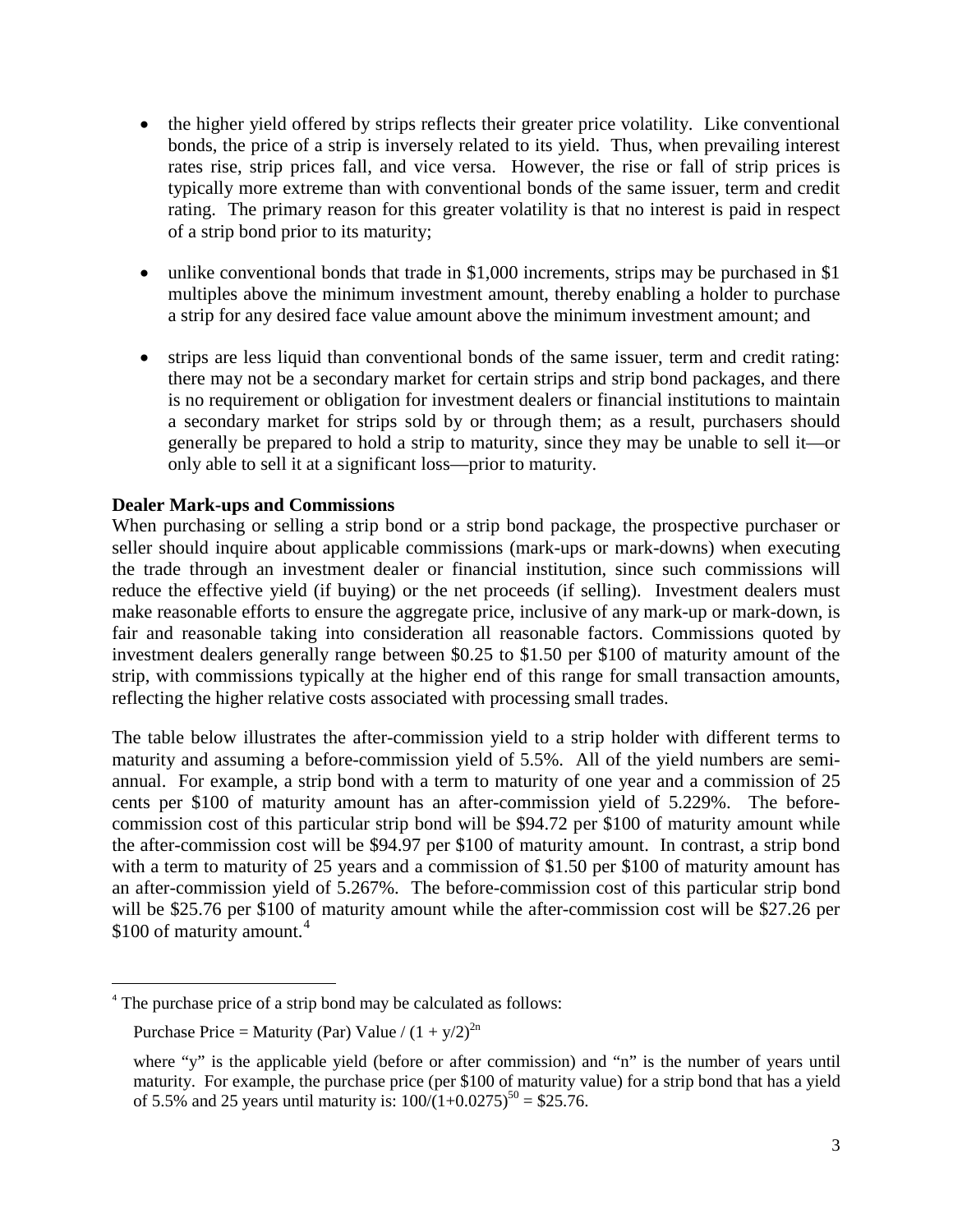- the higher yield offered by strips reflects their greater price volatility. Like conventional bonds, the price of a strip is inversely related to its yield. Thus, when prevailing interest rates rise, strip prices fall, and vice versa. However, the rise or fall of strip prices is typically more extreme than with conventional bonds of the same issuer, term and credit rating. The primary reason for this greater volatility is that no interest is paid in respect of a strip bond prior to its maturity;
- unlike conventional bonds that trade in \$1,000 increments, strips may be purchased in \$1 multiples above the minimum investment amount, thereby enabling a holder to purchase a strip for any desired face value amount above the minimum investment amount; and
- strips are less liquid than conventional bonds of the same issuer, term and credit rating: there may not be a secondary market for certain strips and strip bond packages, and there is no requirement or obligation for investment dealers or financial institutions to maintain a secondary market for strips sold by or through them; as a result, purchasers should generally be prepared to hold a strip to maturity, since they may be unable to sell it—or only able to sell it at a significant loss—prior to maturity.

## **Dealer Mark-ups and Commissions**

When purchasing or selling a strip bond or a strip bond package, the prospective purchaser or seller should inquire about applicable commissions (mark-ups or mark-downs) when executing the trade through an investment dealer or financial institution, since such commissions will reduce the effective yield (if buying) or the net proceeds (if selling). Investment dealers must make reasonable efforts to ensure the aggregate price, inclusive of any mark-up or mark-down, is fair and reasonable taking into consideration all reasonable factors. Commissions quoted by investment dealers generally range between \$0.25 to \$1.50 per \$100 of maturity amount of the strip, with commissions typically at the higher end of this range for small transaction amounts, reflecting the higher relative costs associated with processing small trades.

The table below illustrates the after-commission yield to a strip holder with different terms to maturity and assuming a before-commission yield of 5.5%. All of the yield numbers are semiannual. For example, a strip bond with a term to maturity of one year and a commission of 25 cents per \$100 of maturity amount has an after-commission yield of 5.229%. The beforecommission cost of this particular strip bond will be \$94.72 per \$100 of maturity amount while the after-commission cost will be \$94.97 per \$100 of maturity amount. In contrast, a strip bond with a term to maturity of 25 years and a commission of \$1.50 per \$100 of maturity amount has an after-commission yield of 5.267%. The before-commission cost of this particular strip bond will be \$25.76 per \$100 of maturity amount while the after-commission cost will be \$27.26 per \$100 of maturity amount.<sup>[4](#page-2-0)</sup>

 $\overline{\phantom{a}}$ 

<span id="page-2-0"></span><sup>&</sup>lt;sup>4</sup> The purchase price of a strip bond may be calculated as follows:

Purchase Price = Maturity (Par) Value /  $(1 + y/2)^{2n}$ 

where "y" is the applicable yield (before or after commission) and "n" is the number of years until maturity. For example, the purchase price (per \$100 of maturity value) for a strip bond that has a yield of 5.5% and 25 years until maturity is:  $100/(1+0.0275)^{50} = $25.76$ .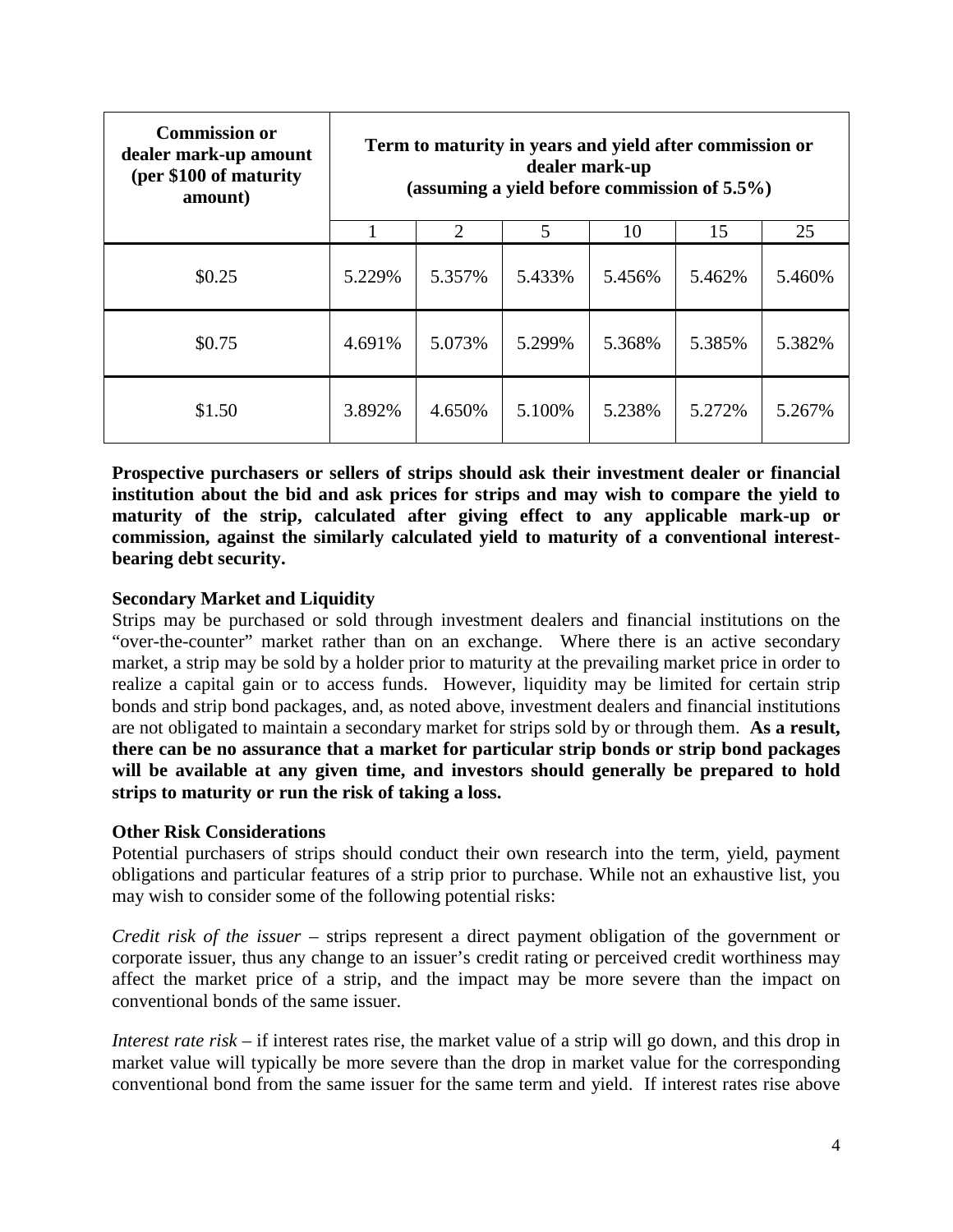| <b>Commission or</b><br>dealer mark-up amount<br>(per \$100 of maturity<br>amount) | Term to maturity in years and yield after commission or<br>dealer mark-up<br>(assuming a yield before commission of 5.5%) |        |        |        |        |        |  |  |  |
|------------------------------------------------------------------------------------|---------------------------------------------------------------------------------------------------------------------------|--------|--------|--------|--------|--------|--|--|--|
|                                                                                    |                                                                                                                           | 2      | 5      | 10     | 15     | 25     |  |  |  |
| \$0.25                                                                             | 5.229%                                                                                                                    | 5.357% | 5.433% | 5.456% | 5.462% | 5.460% |  |  |  |
| \$0.75                                                                             | 4.691%                                                                                                                    | 5.073% | 5.299% | 5.368% | 5.385% | 5.382% |  |  |  |
| \$1.50                                                                             | 3.892%                                                                                                                    | 4.650% | 5.100% | 5.238% | 5.272% | 5.267% |  |  |  |

**Prospective purchasers or sellers of strips should ask their investment dealer or financial institution about the bid and ask prices for strips and may wish to compare the yield to maturity of the strip, calculated after giving effect to any applicable mark-up or commission, against the similarly calculated yield to maturity of a conventional interestbearing debt security.**

## **Secondary Market and Liquidity**

Strips may be purchased or sold through investment dealers and financial institutions on the "over-the-counter" market rather than on an exchange. Where there is an active secondary market, a strip may be sold by a holder prior to maturity at the prevailing market price in order to realize a capital gain or to access funds. However, liquidity may be limited for certain strip bonds and strip bond packages, and, as noted above, investment dealers and financial institutions are not obligated to maintain a secondary market for strips sold by or through them. **As a result, there can be no assurance that a market for particular strip bonds or strip bond packages will be available at any given time, and investors should generally be prepared to hold strips to maturity or run the risk of taking a loss.** 

### **Other Risk Considerations**

Potential purchasers of strips should conduct their own research into the term, yield, payment obligations and particular features of a strip prior to purchase. While not an exhaustive list, you may wish to consider some of the following potential risks:

*Credit risk of the issuer* – strips represent a direct payment obligation of the government or corporate issuer, thus any change to an issuer's credit rating or perceived credit worthiness may affect the market price of a strip, and the impact may be more severe than the impact on conventional bonds of the same issuer.

*Interest rate risk* – if interest rates rise, the market value of a strip will go down, and this drop in market value will typically be more severe than the drop in market value for the corresponding conventional bond from the same issuer for the same term and yield. If interest rates rise above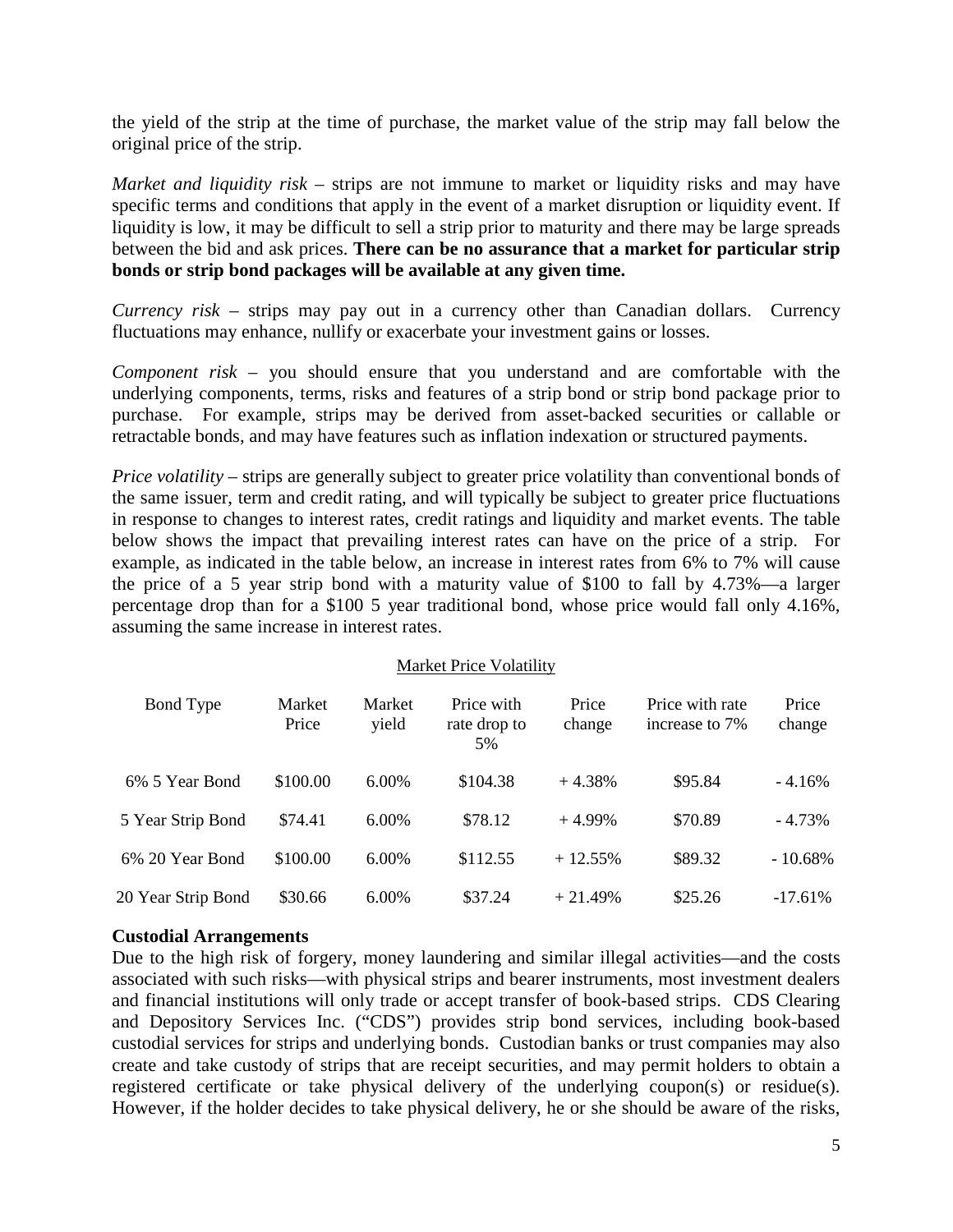the yield of the strip at the time of purchase, the market value of the strip may fall below the original price of the strip.

*Market and liquidity risk* – strips are not immune to market or liquidity risks and may have specific terms and conditions that apply in the event of a market disruption or liquidity event. If liquidity is low, it may be difficult to sell a strip prior to maturity and there may be large spreads between the bid and ask prices. **There can be no assurance that a market for particular strip bonds or strip bond packages will be available at any given time.** 

*Currency risk* – strips may pay out in a currency other than Canadian dollars. Currency fluctuations may enhance, nullify or exacerbate your investment gains or losses.

*Component risk –* you should ensure that you understand and are comfortable with the underlying components, terms, risks and features of a strip bond or strip bond package prior to purchase. For example, strips may be derived from asset-backed securities or callable or retractable bonds, and may have features such as inflation indexation or structured payments.

*Price volatility* – strips are generally subject to greater price volatility than conventional bonds of the same issuer, term and credit rating, and will typically be subject to greater price fluctuations in response to changes to interest rates, credit ratings and liquidity and market events. The table below shows the impact that prevailing interest rates can have on the price of a strip. For example, as indicated in the table below, an increase in interest rates from 6% to 7% will cause the price of a 5 year strip bond with a maturity value of \$100 to fall by 4.73%—a larger percentage drop than for a \$100 5 year traditional bond, whose price would fall only 4.16%, assuming the same increase in interest rates.

#### Market Price Volatility

| Bond Type          | Market<br>Price | Market<br>yield | Price with<br>rate drop to<br>5% | Price<br>change | Price with rate<br>increase to 7% | Price<br>change |
|--------------------|-----------------|-----------------|----------------------------------|-----------------|-----------------------------------|-----------------|
| 6% 5 Year Bond     | \$100.00        | $6.00\%$        | \$104.38                         | $+4.38%$        | \$95.84                           | $-4.16%$        |
| 5 Year Strip Bond  | \$74.41         | 6.00%           | \$78.12                          | $+4.99%$        | \$70.89                           | $-4.73%$        |
| 6% 20 Year Bond    | \$100.00        | 6.00%           | \$112.55                         | $+12.55\%$      | \$89.32                           | $-10.68\%$      |
| 20 Year Strip Bond | \$30.66         | 6.00%           | \$37.24                          | $+21.49%$       | \$25.26                           | $-17.61\%$      |

### **Custodial Arrangements**

Due to the high risk of forgery, money laundering and similar illegal activities—and the costs associated with such risks—with physical strips and bearer instruments, most investment dealers and financial institutions will only trade or accept transfer of book-based strips. CDS Clearing and Depository Services Inc. ("CDS") provides strip bond services, including book-based custodial services for strips and underlying bonds. Custodian banks or trust companies may also create and take custody of strips that are receipt securities, and may permit holders to obtain a registered certificate or take physical delivery of the underlying coupon(s) or residue(s). However, if the holder decides to take physical delivery, he or she should be aware of the risks,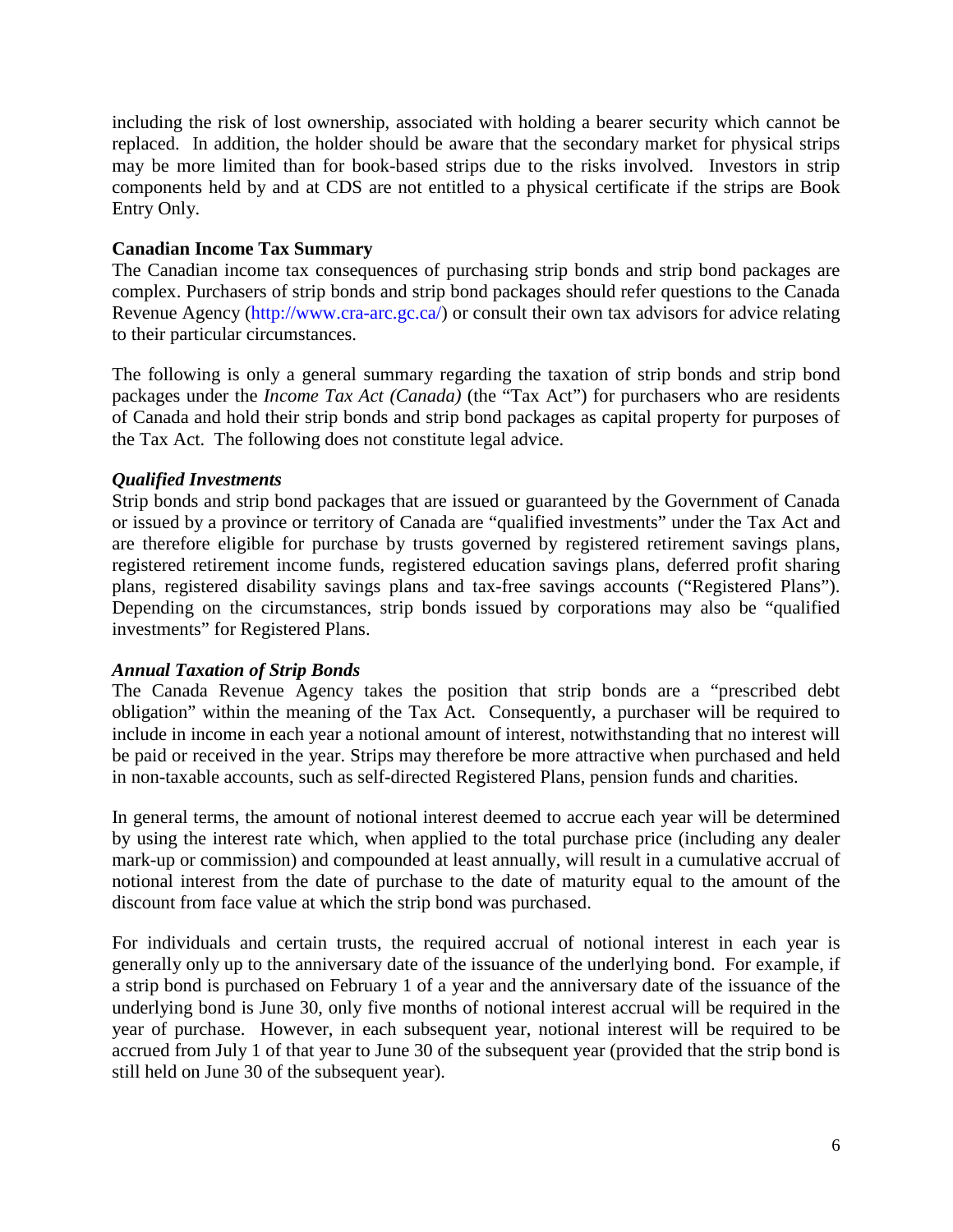including the risk of lost ownership, associated with holding a bearer security which cannot be replaced. In addition, the holder should be aware that the secondary market for physical strips may be more limited than for book-based strips due to the risks involved. Investors in strip components held by and at CDS are not entitled to a physical certificate if the strips are Book Entry Only.

### **Canadian Income Tax Summary**

The Canadian income tax consequences of purchasing strip bonds and strip bond packages are complex. Purchasers of strip bonds and strip bond packages should refer questions to the Canada Revenue Agency [\(http://www.cra-arc.gc.ca/\)](http://www.cra-arc.gc.ca/) or consult their own tax advisors for advice relating to their particular circumstances.

The following is only a general summary regarding the taxation of strip bonds and strip bond packages under the *Income Tax Act (Canada)* (the "Tax Act") for purchasers who are residents of Canada and hold their strip bonds and strip bond packages as capital property for purposes of the Tax Act. The following does not constitute legal advice.

## *Qualified Investments*

Strip bonds and strip bond packages that are issued or guaranteed by the Government of Canada or issued by a province or territory of Canada are "qualified investments" under the Tax Act and are therefore eligible for purchase by trusts governed by registered retirement savings plans, registered retirement income funds, registered education savings plans, deferred profit sharing plans, registered disability savings plans and tax-free savings accounts ("Registered Plans"). Depending on the circumstances, strip bonds issued by corporations may also be "qualified investments" for Registered Plans.

### *Annual Taxation of Strip Bonds*

The Canada Revenue Agency takes the position that strip bonds are a "prescribed debt obligation" within the meaning of the Tax Act. Consequently, a purchaser will be required to include in income in each year a notional amount of interest, notwithstanding that no interest will be paid or received in the year. Strips may therefore be more attractive when purchased and held in non-taxable accounts, such as self-directed Registered Plans, pension funds and charities.

In general terms, the amount of notional interest deemed to accrue each year will be determined by using the interest rate which, when applied to the total purchase price (including any dealer mark-up or commission) and compounded at least annually, will result in a cumulative accrual of notional interest from the date of purchase to the date of maturity equal to the amount of the discount from face value at which the strip bond was purchased.

For individuals and certain trusts, the required accrual of notional interest in each year is generally only up to the anniversary date of the issuance of the underlying bond. For example, if a strip bond is purchased on February 1 of a year and the anniversary date of the issuance of the underlying bond is June 30, only five months of notional interest accrual will be required in the year of purchase. However, in each subsequent year, notional interest will be required to be accrued from July 1 of that year to June 30 of the subsequent year (provided that the strip bond is still held on June 30 of the subsequent year).